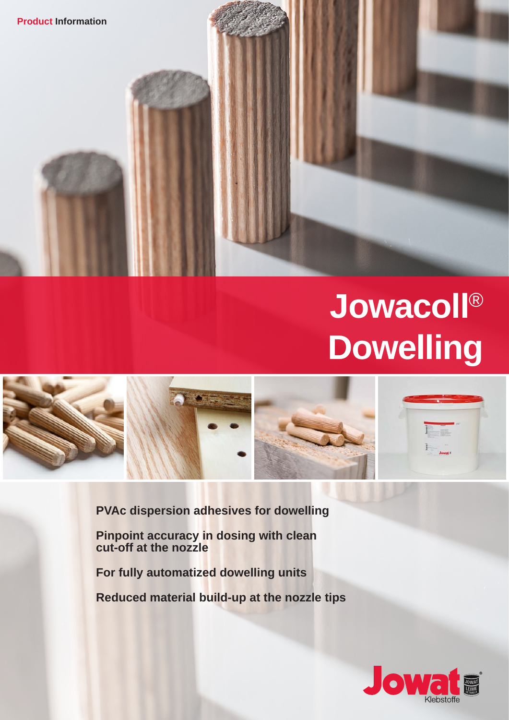



**PVAc dispersion adhesives for dowelling**

**Pinpoint accuracy in dosing with clean cut-off at the nozzle**

**For fully automatized dowelling units**

**Reduced material build-up at the nozzle tips**